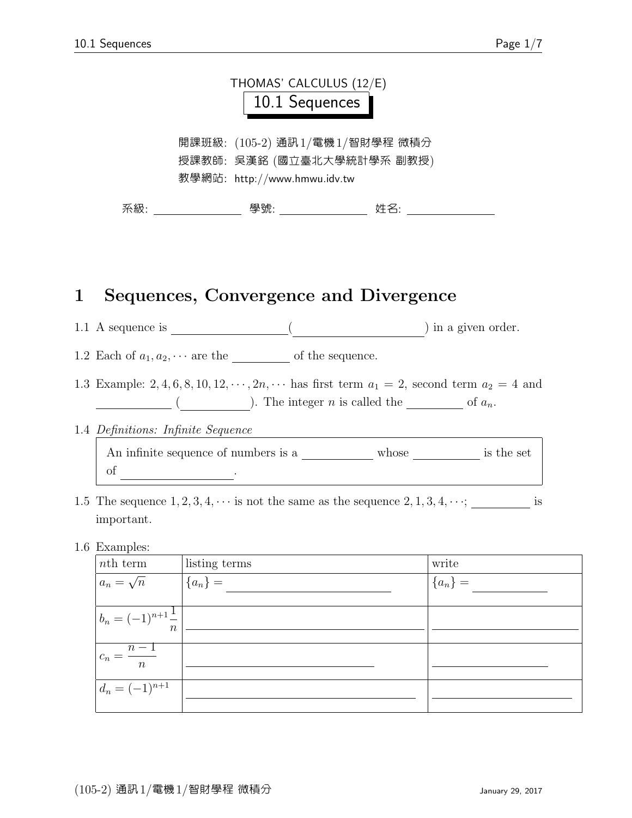

#### 1 Sequences, Convergence and Divergence

1.1 A sequence is  $\qquad \qquad \underbrace{\qquad \qquad }$ 

1.2 Each of  $a_1, a_2, \cdots$  are the of the sequence.

1.3 Example: 2, 4, 6, 8, 10, 12,  $\dots$ , 2n,  $\dots$  has first term  $a_1 = 2$ , second term  $a_2 = 4$  and  $\begin{array}{c} \hline \end{array}$  ( and integer n is called the index of  $a_n$ .

#### 1.4 Definitions: Infinite Sequence

An infinite sequence of numbers is a  $\_\_\_\_\_\_\_\$  whose  $\_\_\_\_\_\_\$  is the set of  $\cdot$ 

1.5 The sequence  $1, 2, 3, 4, \cdots$  is not the same as the sequence  $2, 1, 3, 4, \cdots$ ; is important.

#### 1.6 Examples:

| <i>nth</i> term                | listing terms | write     |
|--------------------------------|---------------|-----------|
| $a_n = \sqrt{n}$               | ${a_n} =$     | ${a_n} =$ |
|                                |               |           |
| $b_n = (-1)^{n+1} \frac{1}{n}$ |               |           |
|                                |               |           |
| $c_n = \frac{n-1}{n}$          |               |           |
| $d_n = (-1)^{n+1}$             |               |           |
|                                |               |           |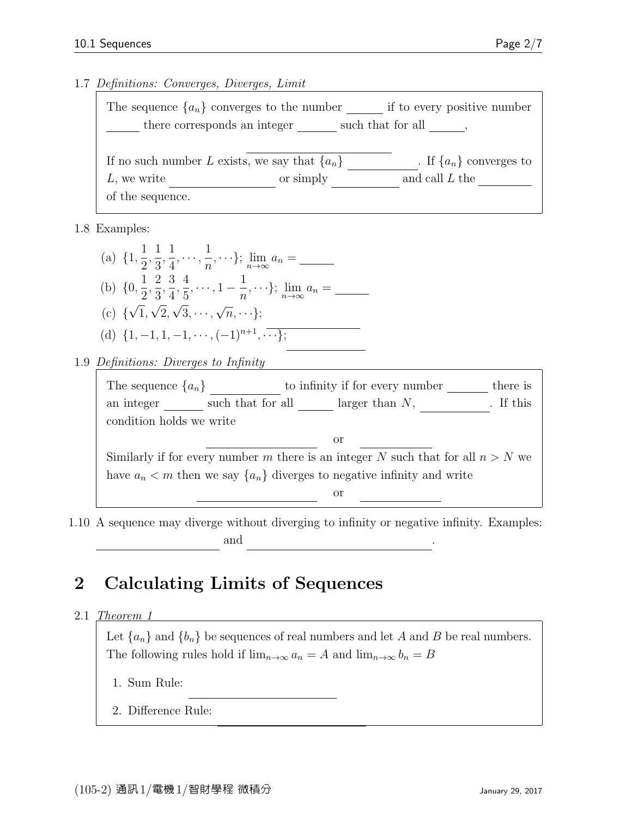1.7 Definitions: Converges, Diverges, Limit

| The sequence $\{a_n\}$ converges to the number    |           | if to every positive number |  |  |
|---------------------------------------------------|-----------|-----------------------------|--|--|
| there corresponds an integer<br>such that for all |           |                             |  |  |
|                                                   |           |                             |  |  |
| If no such number L exists, we say that $\{a_n\}$ |           | . If $\{a_n\}$ converges to |  |  |
| L, we write                                       | or simply | and call $L$ the            |  |  |
| of the sequence.                                  |           |                             |  |  |

1.8 Examples:

(a)  $\{1, \frac{1}{2}\}$ 2 , 1 3 , 1 4  $, \cdots, \frac{1}{n}$  $\frac{1}{n}, \cdots$ };  $\lim_{n \to \infty} a_n = \underline{\qquad}$ (b)  $\{0, \frac{1}{2}\}$ 2 , 2 3 , 3 4 , 4 5  $, \dots, 1 - \frac{1}{n}$  $\frac{1}{n}, \cdots$ };  $\lim_{n \to \infty} a_n = \underline{\qquad}$ (c) { √ 1, √ 2, √  $3, \cdots,$ √  $\overline{n}, \cdots\};$ (d)  $\{1, -1, 1, -1, \cdots, (-1)^{n+1}, \cdots\};$ 

1.9 Definitions: Diverges to Infinity



1.10 A sequence may diverge without diverging to infinity or negative infinity. Examples:  ${\rm and}$   ${\rm .}$ 

## 2 Calculating Limits of Sequences

2.1 Theorem 1

Let  ${a_n}$  and  ${b_n}$  be sequences of real numbers and let A and B be real numbers. The following rules hold if  $\lim_{n\to\infty} a_n = A$  and  $\lim_{n\to\infty} b_n = B$ 

1. Sum Rule:

2. Difference Rule: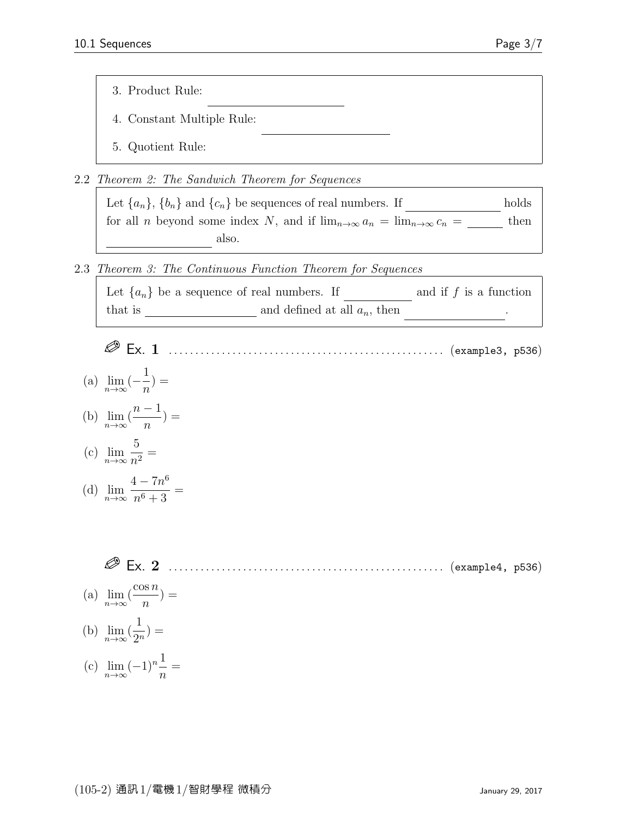- 3. Product Rule:
- 4. Constant Multiple Rule:
- 5. Quotient Rule:
- 2.2 Theorem 2: The Sandwich Theorem for Sequences

Let  ${a_n}$ ,  ${b_n}$  and  ${c_n}$  be sequences of real numbers. If holds for all *n* beyond some index N, and if  $\lim_{n\to\infty} a_n = \lim_{n\to\infty} c_n =$  then also.

2.3 Theorem 3: The Continuous Function Theorem for Sequences

bn

A

| Let $\{a_n\}$ be a sequence of real numbers. If |                                 | and if $f$ is a function |
|-------------------------------------------------|---------------------------------|--------------------------|
| that is                                         | and defined at all $a_n$ , then |                          |

- Ex. 1 . . . . . . . . . . . . . . . . . . . . . . . . . . . . . . . . . . . . . . . . . . . . . . . . . . . . (example3, p536)
- (a)  $\lim_{n\to\infty}(-\frac{1}{n})$ n  $) =$
- (b)  $\lim_{n\to\infty}$  (  $n-1$ n  $) =$

(c) 
$$
\lim_{n \to \infty} \frac{5}{n^2} =
$$

(d) 
$$
\lim_{n \to \infty} \frac{4 - 7n^6}{n^6 + 3} =
$$

Ex. 2 . . . . . . . . . . . . . . . . . . . . . . . . . . . . . . . . . . . . . . . . . . . . . . . . . . . . (example4, p536)

- (a)  $\lim_{n\to\infty}$  ( cos n  $\overline{n}$  $) =$
- (b)  $\lim_{n\to\infty}$  ( 1  $\frac{1}{2^n}$ ) =
- (c)  $\lim_{n \to \infty} (-1)^n \frac{1}{n}$ n =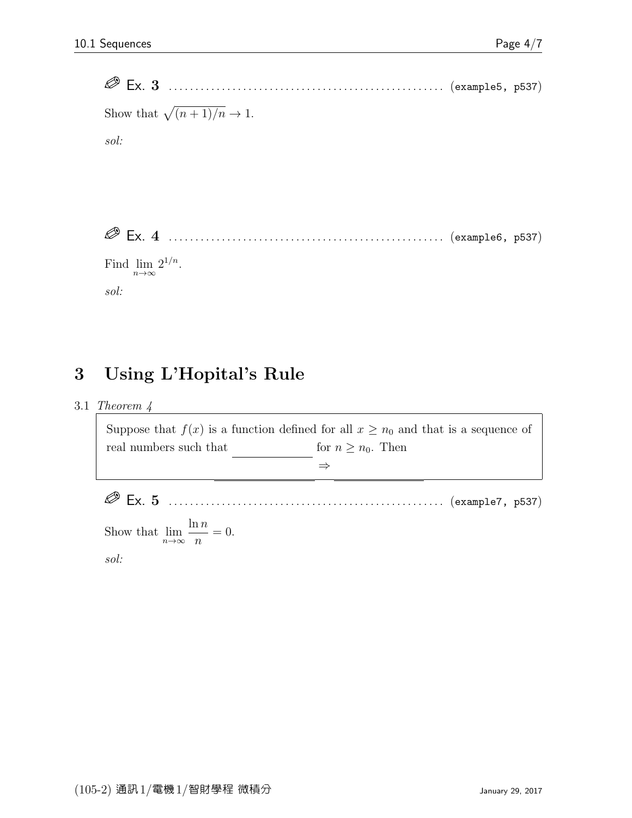

### 3 Using L'Hopital's Rule

3.1 Theorem 4

Suppose that  $f(x)$  is a function defined for all  $x \geq n_0$  and that is a sequence of real numbers such that  $for n \geq n_0$ . Then limx→∞  $\Rightarrow$ Ex. 5 . . . . . . . . . . . . . . . . . . . . . . . . . . . . . . . . . . . . . . . . . . . . . . . . . . . . (example7, p537)

Show that  $\lim_{n\to\infty}$  $\ln n$ n  $= 0.$ 

sol: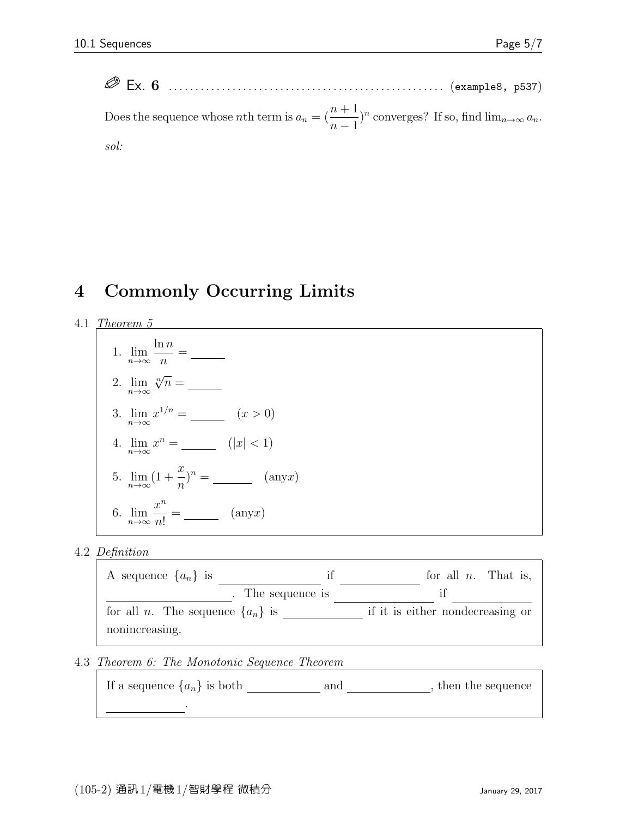Ex. 6 . . . . . . . . . . . . . . . . . . . . . . . . . . . . . . . . . . . . . . . . . . . . . . . . . . . . (example8, p537) Does the sequence whose *n*th term is  $a_n = \left(\frac{n+1}{n-1}\right)$  $\int^n$  converges? If so, find  $\lim_{n\to\infty} a_n$ . sol:

### 4 Commonly Occurring Limits

4.1 Theorem 5

1. 
$$
\lim_{n \to \infty} \frac{\ln n}{n} =
$$
\n2. 
$$
\lim_{n \to \infty} \sqrt[n]{n} =
$$
\n3. 
$$
\lim_{n \to \infty} x^{1/n} =
$$
\n4. 
$$
\lim_{n \to \infty} x^n =
$$
\n
$$
(|x| < 1)
$$
\n5. 
$$
\lim_{n \to \infty} (1 + \frac{x}{n})^n =
$$
\n
$$
(any x)
$$
\n6. 
$$
\lim_{n \to \infty} \frac{x^n}{n!} =
$$
\n
$$
(any x)
$$

#### 4.2 Definition



4.3 Theorem 6: The Monotonic Sequence Theorem

If a sequence  $\{a_n\}$  is both  $\underline{\hspace{1cm}}$  and  $\underline{\hspace{1cm}}$ , then the sequence

converges .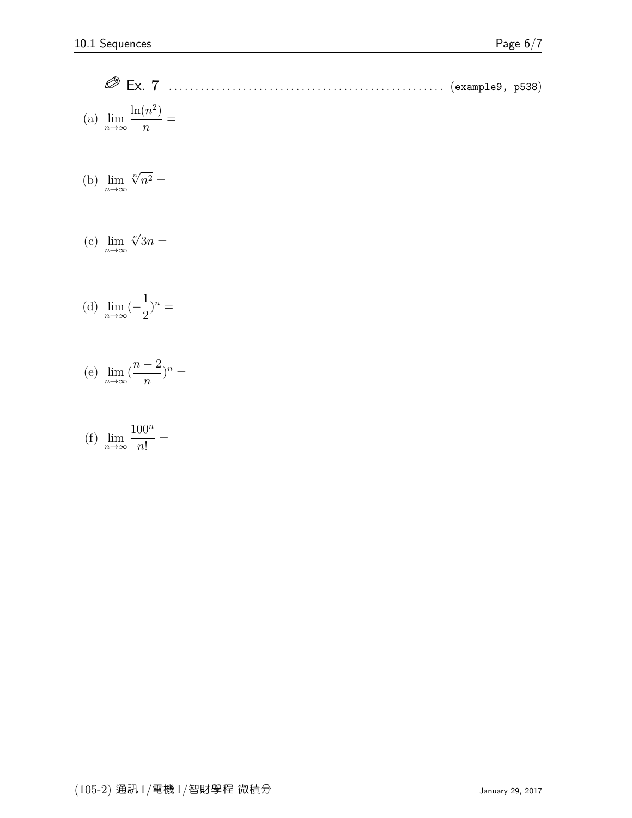Ex. 7 . . . . . . . . . . . . . . . . . . . . . . . . . . . . . . . . . . . . . . . . . . . . . . . . . . . . (example9, p538) (a)  $\lim_{n\to\infty}$  $\ln(n^2)$  $\overline{n}$ =

(b) 
$$
\lim_{n \to \infty} \sqrt[n]{n^2} =
$$

(c) 
$$
\lim_{n \to \infty} \sqrt[n]{3n} =
$$

(d) 
$$
\lim_{n \to \infty} (-\frac{1}{2})^n =
$$

(e) 
$$
\lim_{n \to \infty} (\frac{n-2}{n})^n =
$$

(f) 
$$
\lim_{n \to \infty} \frac{100^n}{n!} =
$$